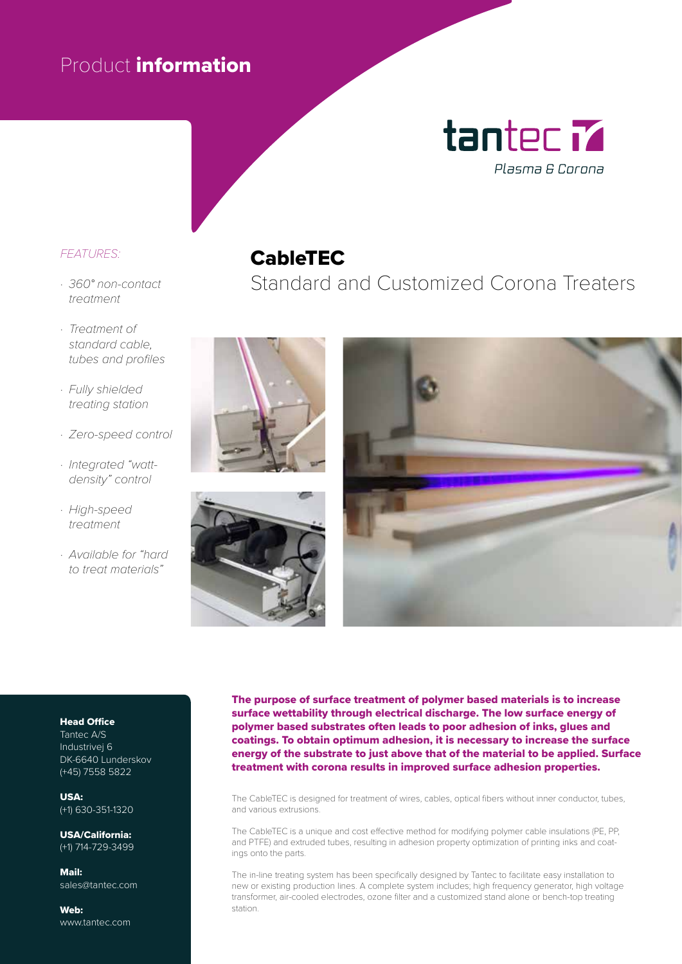# Product information



## *FEATURES:*

- *· 360° non-contact treatment*
- *· Treatment of standard cable, tubes and profiles*
- *· Fully shielded treating station*
- *· Zero-speed control*
- *· Integrated "wattdensity" control*
- *· High-speed treatment*
- *· Available for "hard to treat materials"*

## CableTEC

Standard and Customized Corona Treaters







#### Head Office

Tantec A/S Industrivej 6 DK-6640 Lunderskov (+45) 7558 5822

USA: (+1) 630-351-1320

USA/California: (+1) 714-729-3499

Mail: sales@tantec.com

Web: www.tantec.com The purpose of surface treatment of polymer based materials is to increase surface wettability through electrical discharge. The low surface energy of polymer based substrates often leads to poor adhesion of inks, glues and coatings. To obtain optimum adhesion, it is necessary to increase the surface energy of the substrate to just above that of the material to be applied. Surface treatment with corona results in improved surface adhesion properties.

The CableTEC is designed for treatment of wires, cables, optical fibers without inner conductor, tubes, and various extrusions.

The CableTEC is a unique and cost effective method for modifying polymer cable insulations (PE, PP, and PTFE) and extruded tubes, resulting in adhesion property optimization of printing inks and coatings onto the parts.

The in-line treating system has been specifically designed by Tantec to facilitate easy installation to new or existing production lines. A complete system includes; high frequency generator, high voltage transformer, air-cooled electrodes, ozone filter and a customized stand alone or bench-top treating station.